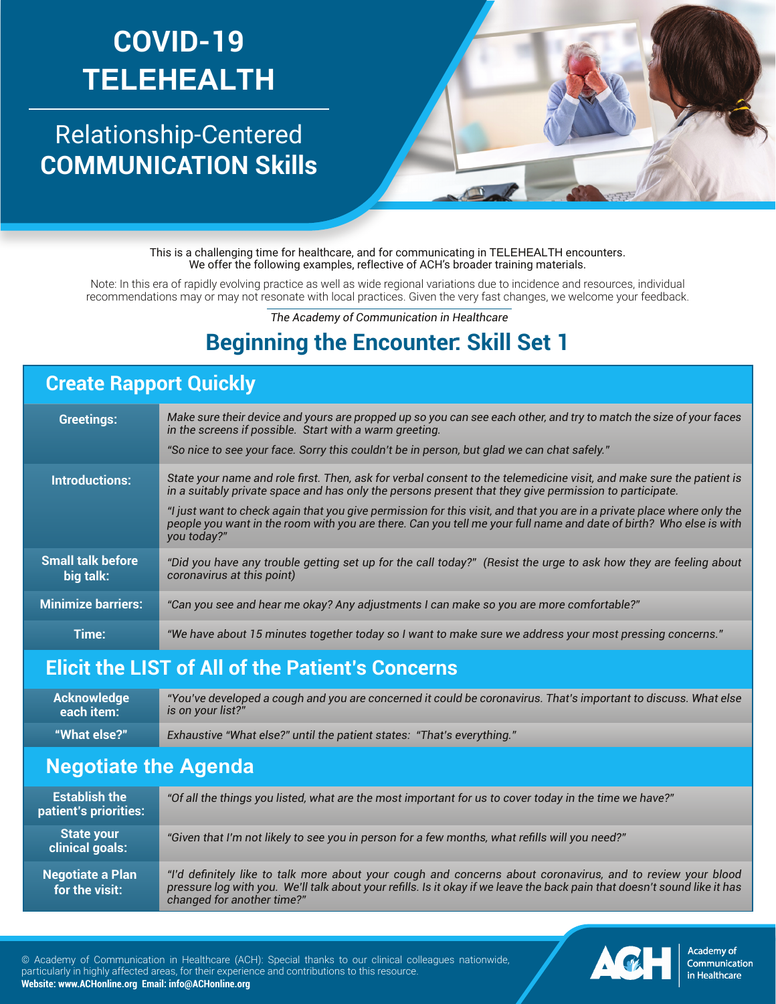# **COVID-19 TELEHEALTH**

## Relationship-Centered **COMMUNICATION Skills**



This is a challenging time for healthcare, and for communicating in TELEHEALTH encounters. We offer the following examples, reflective of ACH's broader training materials.

Note: In this era of rapidly evolving practice as well as wide regional variations due to incidence and resources, individual recommendations may or may not resonate with local practices. Given the very fast changes, we welcome your feedback.

*The Academy of Communication in Healthcare*

### **Beginning the Encounter: Skill Set 1**

#### **Create Rapport Quickly**

| <b>Greetings:</b>                     | Make sure their device and yours are propped up so you can see each other, and try to match the size of your faces<br>in the screens if possible. Start with a warm greeting.<br>"So nice to see your face. Sorry this couldn't be in person, but glad we can chat safely."                                                                                                                                                                                                                    |
|---------------------------------------|------------------------------------------------------------------------------------------------------------------------------------------------------------------------------------------------------------------------------------------------------------------------------------------------------------------------------------------------------------------------------------------------------------------------------------------------------------------------------------------------|
| <b>Introductions:</b>                 | State your name and role first. Then, ask for verbal consent to the telemedicine visit, and make sure the patient is<br>in a suitably private space and has only the persons present that they give permission to participate.<br>"I just want to check again that you give permission for this visit, and that you are in a private place where only the<br>people you want in the room with you are there. Can you tell me your full name and date of birth? Who else is with<br>you today?" |
| <b>Small talk before</b><br>big talk: | "Did you have any trouble getting set up for the call today?" (Resist the urge to ask how they are feeling about<br>coronavirus at this point)                                                                                                                                                                                                                                                                                                                                                 |
| <b>Minimize barriers:</b>             | "Can you see and hear me okay? Any adjustments I can make so you are more comfortable?"                                                                                                                                                                                                                                                                                                                                                                                                        |
| Time:                                 | "We have about 15 minutes together today so I want to make sure we address your most pressing concerns."                                                                                                                                                                                                                                                                                                                                                                                       |

#### **Elicit the LIST of All of the Patient's Concerns**

| <b>Acknowledge</b> | "You've developed a cough and you are concerned it could be coronavirus. That's important to discuss. What else |
|--------------------|-----------------------------------------------------------------------------------------------------------------|
| each item:         | is on vour list?"                                                                                               |
| "What else?"       | Exhaustive "What else?" until the patient states: "That's everything."                                          |

#### **Negotiate the Agenda**

| <b>Establish the</b><br>patient's priorities: 1 | "Of all the things you listed, what are the most important for us to cover today in the time we have?"                                                                                                                                                                 |
|-------------------------------------------------|------------------------------------------------------------------------------------------------------------------------------------------------------------------------------------------------------------------------------------------------------------------------|
| <b>State your</b><br>clinical goals:            | "Given that I'm not likely to see you in person for a few months, what refills will you need?"                                                                                                                                                                         |
| <b>Negotiate a Plan</b><br>for the visit:       | "I'd definitely like to talk more about your cough and concerns about coronavirus, and to review your blood<br>pressure log with you. We'll talk about your refills. Is it okay if we leave the back pain that doesn't sound like it has<br>changed for another time?" |

© Academy of Communication in Healthcare (ACH): Special thanks to our clinical colleagues nationwide, particularly in highly affected areas, for their experience and contributions to this resource. **Website: www.ACHonline.org Email: info@ACHonline.org**



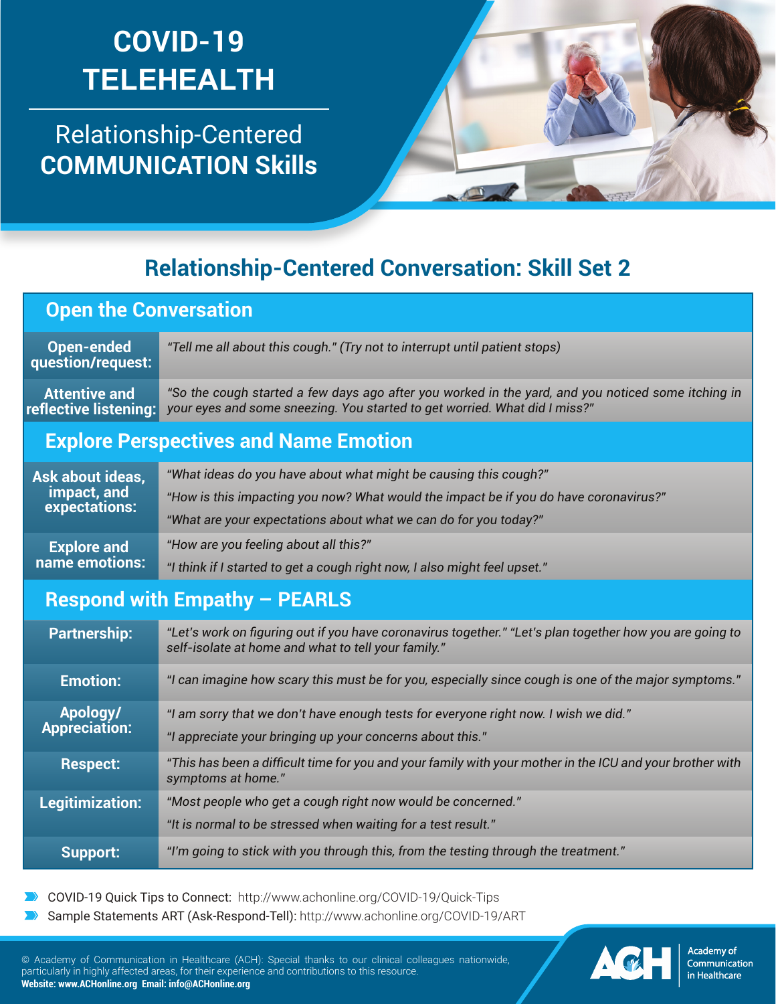# **COVID-19 TELEHEALTH**

Relationship-Centered **COMMUNICATION Skills**



## **Relationship-Centered Conversation: Skill Set 2**

**Open the Conversation**

**Open-ended question/request:** *"Tell me all about this cough." (Try not to interrupt until patient stops)* **Attentive and reflective listening:** *"So the cough started a few days ago after you worked in the yard, and you noticed some itching in your eyes and some sneezing. You started to get worried. What did I miss?"*

#### **Explore Perspectives and Name Emotion**

| Ask about ideas,             | "What ideas do you have about what might be causing this cough?"                      |
|------------------------------|---------------------------------------------------------------------------------------|
| impact, and<br>expectations: | "How is this impacting you now? What would the impact be if you do have coronavirus?" |
|                              | "What are your expectations about what we can do for you today?"                      |
| <b>Explore and</b>           | "How are you feeling about all this?"                                                 |
| name emotions:               | "I think if I started to get a cough right now, I also might feel upset."             |

#### **Respond with Empathy – PEARLS**

| <b>Partnership:</b>  | "Let's work on figuring out if you have coronavirus together." "Let's plan together how you are going to<br>self-isolate at home and what to tell your family." |
|----------------------|-----------------------------------------------------------------------------------------------------------------------------------------------------------------|
| <b>Emotion:</b>      | "I can imagine how scary this must be for you, especially since cough is one of the major symptoms."                                                            |
| Apology/             | "I am sorry that we don't have enough tests for everyone right now. I wish we did."                                                                             |
| <b>Appreciation:</b> | "I appreciate your bringing up your concerns about this."                                                                                                       |
| <b>Respect:</b>      | "This has been a difficult time for you and your family with your mother in the ICU and your brother with<br>symptoms at home."                                 |
| Legitimization:      | "Most people who get a cough right now would be concerned."                                                                                                     |
|                      | "It is normal to be stressed when waiting for a test result."                                                                                                   |
| Support:             | "I'm going to stick with you through this, from the testing through the treatment."                                                                             |

COVID-19 Quick Tips to Connect: http://www.achonline.org/COVID-19/Quick-Tips

Sample Statements ART (Ask-Respond-Tell): http://www.achonline.org/COVID-19/ART

© Academy of Communication in Healthcare (ACH): Special thanks to our clinical colleagues nationwide, particularly in highly affected areas, for their experience and contributions to this resource. **Website: www.ACHonline.org Email: info@ACHonline.org**



**Academy of** Communication in Healthcare